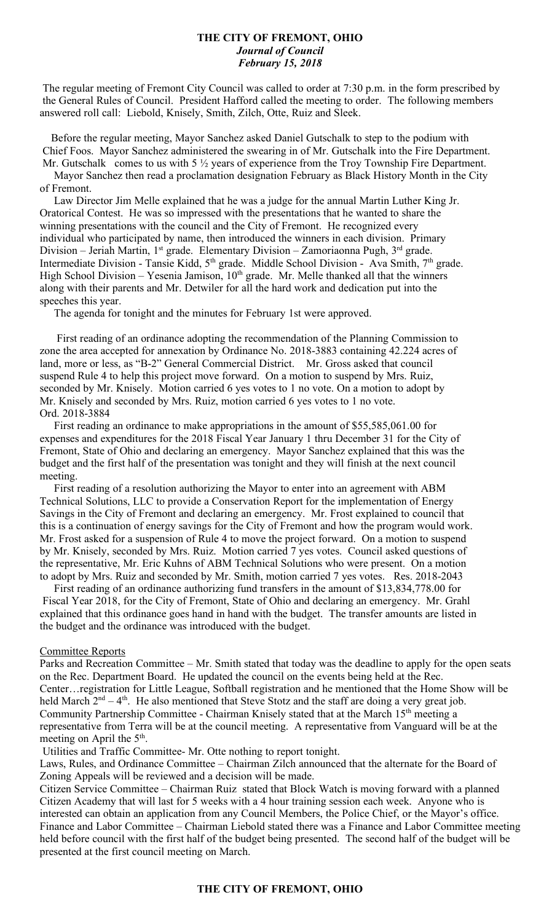# **THE CITY OF FREMONT, OHIO** *Journal of Council February 15, 2018*

The regular meeting of Fremont City Council was called to order at 7:30 p.m. in the form prescribed by the General Rules of Council. President Hafford called the meeting to order. The following members answered roll call: Liebold, Knisely, Smith, Zilch, Otte, Ruiz and Sleek.

 Before the regular meeting, Mayor Sanchez asked Daniel Gutschalk to step to the podium with Chief Foos. Mayor Sanchez administered the swearing in of Mr. Gutschalk into the Fire Department. Mr. Gutschalk comes to us with 5 <sup>1</sup>/<sub>2</sub> years of experience from the Troy Township Fire Department.

 Mayor Sanchez then read a proclamation designation February as Black History Month in the City of Fremont.

 Law Director Jim Melle explained that he was a judge for the annual Martin Luther King Jr. Oratorical Contest. He was so impressed with the presentations that he wanted to share the winning presentations with the council and the City of Fremont. He recognized every individual who participated by name, then introduced the winners in each division. Primary Division – Jeriah Martin, 1<sup>st</sup> grade. Elementary Division – Zamoriaonna Pugh, 3<sup>rd</sup> grade. Intermediate Division - Tansie Kidd, 5<sup>th</sup> grade. Middle School Division - Ava Smith, 7<sup>th</sup> grade. High School Division – Yesenia Jamison,  $10<sup>th</sup>$  grade. Mr. Melle thanked all that the winners along with their parents and Mr. Detwiler for all the hard work and dedication put into the speeches this year.

The agenda for tonight and the minutes for February 1st were approved.

 First reading of an ordinance adopting the recommendation of the Planning Commission to zone the area accepted for annexation by Ordinance No. 2018-3883 containing 42.224 acres of land, more or less, as "B-2" General Commercial District. Mr. Gross asked that council suspend Rule 4 to help this project move forward. On a motion to suspend by Mrs. Ruiz, seconded by Mr. Knisely. Motion carried 6 yes votes to 1 no vote. On a motion to adopt by Mr. Knisely and seconded by Mrs. Ruiz, motion carried 6 yes votes to 1 no vote. Ord. 2018-3884

 First reading an ordinance to make appropriations in the amount of \$55,585,061.00 for expenses and expenditures for the 2018 Fiscal Year January 1 thru December 31 for the City of Fremont, State of Ohio and declaring an emergency. Mayor Sanchez explained that this was the budget and the first half of the presentation was tonight and they will finish at the next council meeting.

 First reading of a resolution authorizing the Mayor to enter into an agreement with ABM Technical Solutions, LLC to provide a Conservation Report for the implementation of Energy Savings in the City of Fremont and declaring an emergency. Mr. Frost explained to council that this is a continuation of energy savings for the City of Fremont and how the program would work. Mr. Frost asked for a suspension of Rule 4 to move the project forward. On a motion to suspend by Mr. Knisely, seconded by Mrs. Ruiz. Motion carried 7 yes votes. Council asked questions of the representative, Mr. Eric Kuhns of ABM Technical Solutions who were present. On a motion to adopt by Mrs. Ruiz and seconded by Mr. Smith, motion carried 7 yes votes. Res. 2018-2043

 First reading of an ordinance authorizing fund transfers in the amount of \$13,834,778.00 for Fiscal Year 2018, for the City of Fremont, State of Ohio and declaring an emergency. Mr. Grahl explained that this ordinance goes hand in hand with the budget. The transfer amounts are listed in the budget and the ordinance was introduced with the budget.

### Committee Reports

Parks and Recreation Committee – Mr. Smith stated that today was the deadline to apply for the open seats on the Rec. Department Board. He updated the council on the events being held at the Rec. Center…registration for Little League, Softball registration and he mentioned that the Home Show will be held March  $2^{nd} - 4^{th}$ . He also mentioned that Steve Stotz and the staff are doing a very great job. Community Partnership Committee - Chairman Knisely stated that at the March 15<sup>th</sup> meeting a representative from Terra will be at the council meeting. A representative from Vanguard will be at the meeting on April the 5<sup>th</sup>.

Utilities and Traffic Committee- Mr. Otte nothing to report tonight.

Laws, Rules, and Ordinance Committee – Chairman Zilch announced that the alternate for the Board of Zoning Appeals will be reviewed and a decision will be made.

Citizen Service Committee – Chairman Ruiz stated that Block Watch is moving forward with a planned Citizen Academy that will last for 5 weeks with a 4 hour training session each week. Anyone who is interested can obtain an application from any Council Members, the Police Chief, or the Mayor's office. Finance and Labor Committee – Chairman Liebold stated there was a Finance and Labor Committee meeting held before council with the first half of the budget being presented. The second half of the budget will be presented at the first council meeting on March.

### **THE CITY OF FREMONT, OHIO**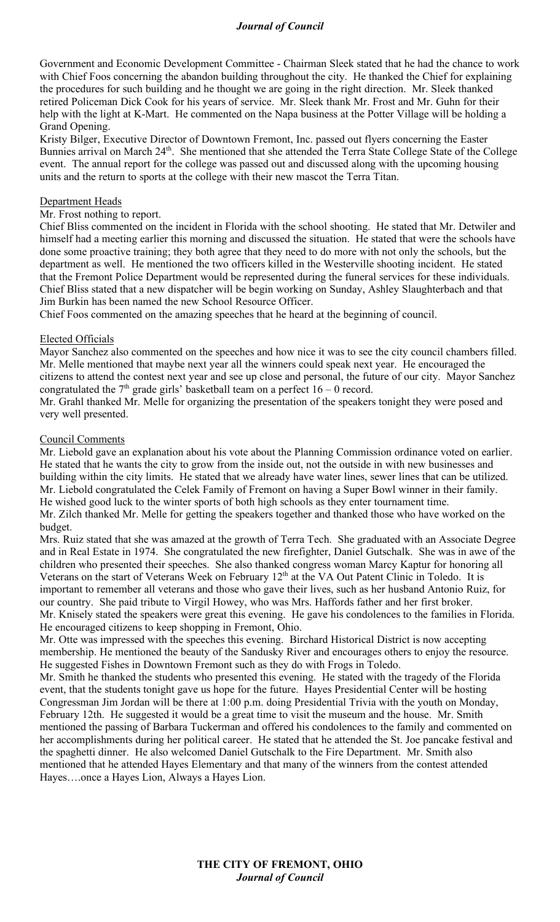# *Journal of Council*

Government and Economic Development Committee - Chairman Sleek stated that he had the chance to work with Chief Foos concerning the abandon building throughout the city. He thanked the Chief for explaining the procedures for such building and he thought we are going in the right direction. Mr. Sleek thanked retired Policeman Dick Cook for his years of service. Mr. Sleek thank Mr. Frost and Mr. Guhn for their help with the light at K-Mart. He commented on the Napa business at the Potter Village will be holding a Grand Opening.

Kristy Bilger, Executive Director of Downtown Fremont, Inc. passed out flyers concerning the Easter Bunnies arrival on March 24<sup>th</sup>. She mentioned that she attended the Terra State College State of the College event. The annual report for the college was passed out and discussed along with the upcoming housing units and the return to sports at the college with their new mascot the Terra Titan.

## Department Heads

Mr. Frost nothing to report.

Chief Bliss commented on the incident in Florida with the school shooting. He stated that Mr. Detwiler and himself had a meeting earlier this morning and discussed the situation. He stated that were the schools have done some proactive training; they both agree that they need to do more with not only the schools, but the department as well. He mentioned the two officers killed in the Westerville shooting incident. He stated that the Fremont Police Department would be represented during the funeral services for these individuals. Chief Bliss stated that a new dispatcher will be begin working on Sunday, Ashley Slaughterbach and that Jim Burkin has been named the new School Resource Officer.

Chief Foos commented on the amazing speeches that he heard at the beginning of council.

## Elected Officials

Mayor Sanchez also commented on the speeches and how nice it was to see the city council chambers filled. Mr. Melle mentioned that maybe next year all the winners could speak next year. He encouraged the citizens to attend the contest next year and see up close and personal, the future of our city. Mayor Sanchez congratulated the  $7<sup>th</sup>$  grade girls' basketball team on a perfect  $16 - 0$  record. Mr. Grahl thanked Mr. Melle for organizing the presentation of the speakers tonight they were posed and very well presented.

## Council Comments

Mr. Liebold gave an explanation about his vote about the Planning Commission ordinance voted on earlier. He stated that he wants the city to grow from the inside out, not the outside in with new businesses and building within the city limits. He stated that we already have water lines, sewer lines that can be utilized. Mr. Liebold congratulated the Celek Family of Fremont on having a Super Bowl winner in their family. He wished good luck to the winter sports of both high schools as they enter tournament time. Mr. Zilch thanked Mr. Melle for getting the speakers together and thanked those who have worked on the budget.

Mrs. Ruiz stated that she was amazed at the growth of Terra Tech. She graduated with an Associate Degree and in Real Estate in 1974. She congratulated the new firefighter, Daniel Gutschalk. She was in awe of the children who presented their speeches. She also thanked congress woman Marcy Kaptur for honoring all Veterans on the start of Veterans Week on February 12<sup>th</sup> at the VA Out Patent Clinic in Toledo. It is important to remember all veterans and those who gave their lives, such as her husband Antonio Ruiz, for our country. She paid tribute to Virgil Howey, who was Mrs. Haffords father and her first broker. Mr. Knisely stated the speakers were great this evening. He gave his condolences to the families in Florida. He encouraged citizens to keep shopping in Fremont, Ohio.

Mr. Otte was impressed with the speeches this evening. Birchard Historical District is now accepting membership. He mentioned the beauty of the Sandusky River and encourages others to enjoy the resource. He suggested Fishes in Downtown Fremont such as they do with Frogs in Toledo.

Mr. Smith he thanked the students who presented this evening. He stated with the tragedy of the Florida event, that the students tonight gave us hope for the future. Hayes Presidential Center will be hosting Congressman Jim Jordan will be there at 1:00 p.m. doing Presidential Trivia with the youth on Monday, February 12th. He suggested it would be a great time to visit the museum and the house. Mr. Smith mentioned the passing of Barbara Tuckerman and offered his condolences to the family and commented on her accomplishments during her political career. He stated that he attended the St. Joe pancake festival and the spaghetti dinner. He also welcomed Daniel Gutschalk to the Fire Department. Mr. Smith also mentioned that he attended Hayes Elementary and that many of the winners from the contest attended Hayes….once a Hayes Lion, Always a Hayes Lion.